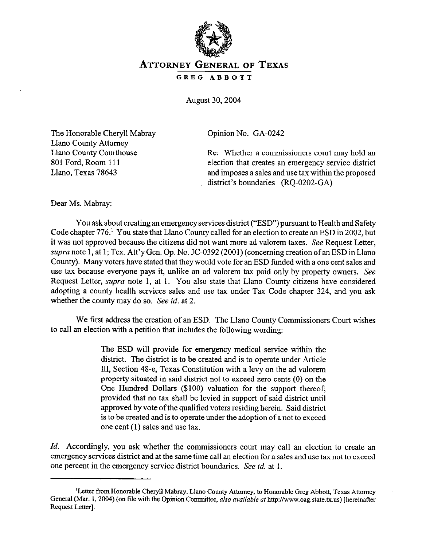

## **ATTORNEY GENERAL** OF **TEXAS**

GREG ABBOTT

August 30,2004

The Honorable Cheryl1 Mabray Llano County Attorney Llano County Courthouse 801 Ford, Room 111 Llano, Texas 78643

Opinion No. GA-0242

Re: Whether a commissioners court may hold an election that creates an emergency service district and imposes a sales and use tax within the proposed district's boundaries (RQ-0202-GA)

Dear Ms. Mabray:

You ask about creating an emergency services district ("ESD") pursuant to Health and Safety Code chapter 776.' You state that Llano County called for an election to create an ESD in 2002, but it was not approved because the citizens did not want more ad valorem taxes. See Request Letter, supra note 1, at 1; Tex. Att'y Gen. Op. No. JC-0392 (2001) (concerning creation of an ESD in Llano County). Many voters have stated that they would vote for an ESD funded with a one cent sales and use tax because everyone pays it, unlike an ad valorem tax paid only by property owners. See Request Letter, *supra* note 1, at 1. You also state that Llano County citizens have considered adopting a county health services sales and use tax under Tax Code chapter 324, and you ask whether the county may do so. See *id.* at 2.

We first address the creation of an ESD. The Llano County Commissioners Court wishes to call an election with a petition that includes the following wording:

> The ESD will provide for emergency medical service within the district. The district is to be created and is to operate under Article III, Section 48-e, Texas Constitution with a levy on the ad valorem property situated in said district not to exceed zero cents (0) on the One Hundred Dollars (\$100) valuation for the support thereof; provided that no tax shall be levied in support of said district until approved by vote ofthe qualified voters residing herein. Said district is to be created and is to operate under the adoption of a not to exceed one cent (1) sales and use tax.

*Id.* Accordingly, you ask whether the commissioners court may call an election to create an emergency services district and at the same time call an election for a sales and use tax not to exceed one percent in the emergency service district boundaries. See *id.* at 1.

<sup>&#</sup>x27;Letter from Honorable Cheryl1 Mabray, Llano County Attorney, to Honorable Greg Abbott, Texas Attorney General (Mar. 1, 2004) (on file with the Opinion Committee, also available at http://www.oag.state.tx.us) [hereinafter Request Letter].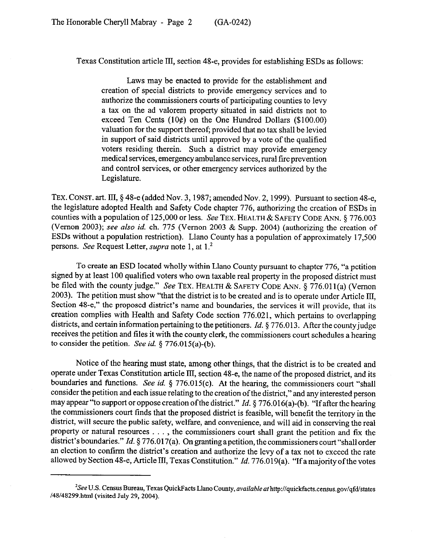Texas Constitution article III, section 48-e, provides for establishing ESDs as follows:

Laws may be enacted to provide for the establishment and creation of special districts to provide emergency services and to authorize the commissioners courts of participating counties to levy a tax on the ad valorem property situated in said districts not to exceed Ten Cents  $(10¢)$  on the One Hundred Dollars  $(100.00)$ valuation for the support thereof; provided that no tax shall be levied in support of said districts until approved by a vote of the qualified voters residing therein. Such a district may provide emergency medical services, emergency ambulance services, rural fire prevention and control services, or other emergency services authorized by the Legislature.

TEX. CONST. art. III, § 48-e (added Nov. 3, 1987; amended Nov. 2, 1999). Pursuant to section 48-e, the legislature adopted Health and Safety Code chapter 776, authorizing the creation of ESDs in counties with a population of 125,000 or less. See TEX. HEALTH & SAFETY CODE ANN. § 776.003 (Vernon 2003); see also *id.* ch. 775 (Vernon 2003 & Supp. 2004) (authorizing the creation of ESDs without a population restriction). Llano County has a population of approximately 17,500 persons. See Request Letter, supra note 1, at 1.'

To create an ESD located wholly within Llano County pursuant to chapter 776, "a petition signed by at least 100 qualified voters who own taxable real property in the proposed district must be filed with the county judge." See TEX. HEALTH & SAFETY CODE ANN. § 776.011(a) (Vernon 2003). The petition must show "that the district is to be created and is to operate under Article III, Section 48-e," the proposed district's name and boundaries, the services it will provide, that its creation complies with Health and Safety Code section 776.021, which pertains to overlapping districts, and certain information pertaining to the petitioners. *Id.* § 776.013. After the county judge receives the petition and tiles it with the county clerk, the commissioners court schedules a hearing to consider the petition. See *id.* 5 776.015(a)-(b).

Notice of the hearing must state, among other things, that the district is to be created and operate under Texas Constitution article III, section 48-e, the name of the proposed district, and its boundaries and functions. See *id.* § 776.015(c). At the hearing, the commissioners court "shall consider the petition and each issue relating to the creation of the district," and any interested person may appear "to support or oppose creation ofthe district." *Id. 5* 776.016(a)-(b). "If after the hearing the commissioners court finds that the proposed district is feasible, will benefit the territory in the district, will secure the public safety, welfare, and convenience, and will aid in conserving the real property or natural resources . . . , the commissioners court shall grant the petition and fix the district's boundaries." *Id.* 8 776.017(a). On granting a petition, the commissioners court "shall order an election to confirm the district's creation and authorize the levy of a tax not to exceed the rate allowed by Section 48-e, Article III, Texas Constitution." *Id.* 776.019(a). "If a majority of the votes

<sup>&#</sup>x27;See U.S. Census Bureau, Texas QuickFacts Llano County, *nvailoble* at http://quickfacts.census.gov/qfd/states /48/48299.html (visited July 29, 2004).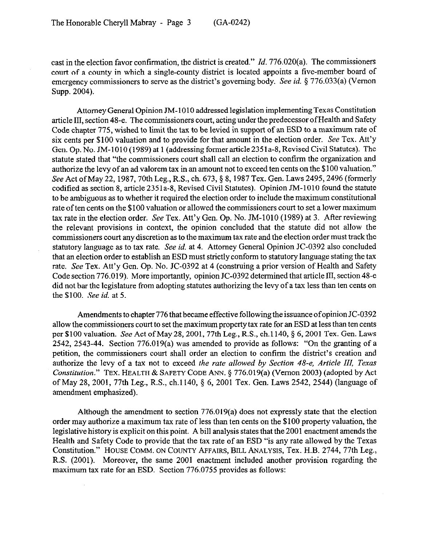cast in the election favor confirmation, the district is created." *Id.* 776.020(a). The commissioners court of a county in which a single-county district is located appoints a five-member board of emergency commissioners to serve as the district's governing body. See *id. 5* 776.033(a) (Vernon Supp. 2004).

Attorney General Opinion JM-1010 addressed legislation implementing Texas Constitution article III, section 48-e. The commissioners court, acting under the predecessor of Health and Safety Code chapter 775, wished to limit the tax to be levied in support of an ESD to a maximum rate of six cents per \$100 valuation and to provide for that amount in the election order. See Tex. Att'y Gen. Op. No. JM-1010 (1989) at 1 (addressing former article 235la-8, Revised Civil Statutes). The statute stated that "the commissioners court shall call an election to confirm the organization and authorize the levy of an ad valorem tax in an amount not to exceed ten cents on the \$100 valuation." See Act of May 22, 1987, 70th Leg., R.S., ch. 673, § 8, 1987 Tex. Gen. Laws 2495, 2496 (formerly codified as section 8, article 2351a-8, Revised Civil Statutes). Opinion JM-1010 found the statute to be ambiguous as to whether it required the election order to include the maximum constitutional rate of ten cents on the \$100 valuation or allowed the commissioners court to set a lower maximum tax rate in the election order. See Tex. Att'y Gen. Op. No. JM-1010 (1989) at 3. After reviewing the relevant provisions in context, the opinion concluded that the statute did not allow the commissioners court any discretion as to the maximum tax rate and the election order must track the statutory language as to tax rate. See *id.* at 4. Attorney General Opinion JC-0392 also concluded that an election order to establish an ESD must strictly conform to statutory language stating the tax rate. See Tex. Att'y Gen. Op. No. JC-0392 at 4 (construing a prior version of Health and Safety Code section 776.019). More importantly, opinion JC-0392 determined that article III, section 48-e did not bar the legislature from adopting statutes authorizing the levy of a tax less than ten cents on the \$100. See *id.* at 5.

Amendments to chapter 776 that became effective following the issuance of opinion JC-0392 allow the commissioners court to set the maximum property tax rate for an ESD at less than ten cents per \$100 valuation. See Act of May 28, 2001, 77th Leg., R.S., ch.1140, § 6, 2001 Tex. Gen. Laws 2542, 2543-44. Section 776.019(a) was amended to provide as follows: "On the granting of a petition, the commissioners court shall order an election to confirm the district's creation and authorize the levy of a tax not to exceed *the rate allowed by Section 48-e, Article III*, Texas *Constitution."* TEX. HEALTH & SAFETY CODE ANN. 5 776.019(a) (Vernon 2003) (adopted by Act of May 28,2001, 77th Leg., R.S., ch.1140, 5 6, 2001 Tex. Gen. Laws 2542,2544) (language of amendment emphasized).

Although the amendment to section 776.019(a) does not expressly state that the election order may authorize a maximum tax rate of less than ten cents on the \$100 property valuation, the legislative history is explicit on this point. A bill analysis states that the 2001 enactment amends the Health and Safety Code to provide that the tax rate of an ESD "is any rate allowed by the Texas Constitution." HOUSE COMM. ON COUNTY AFFAIRS, BILL ANALYSIS, Tex. H.B. 2744, 77th Leg., R.S. (2001). Moreover, the same 2001 enactment included another provision regarding the maximum tax rate for an ESD. Section 776.0755 provides as follows: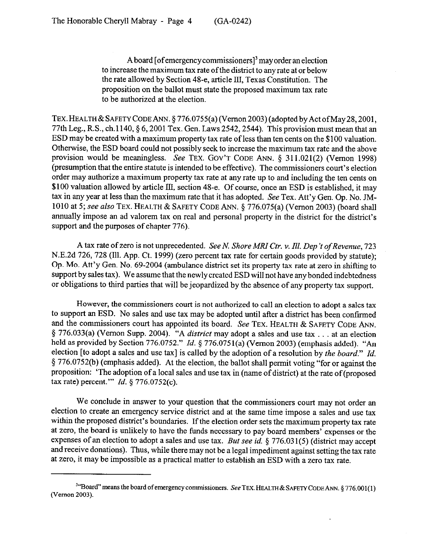A board [of emergency commissioners]<sup>3</sup> may order an election to increase the maximum tax rate of the district to any rate at or below the rate allowed by Section 48-e, article III, Texas Constitution. The proposition on the ballot must state the proposed maximum tax rate to be authorized at the election.

TEX. HEALTH & SAFETY CODE ANN. § 776.0755(a) (Vernon 2003) (adopted by Act of May 28, 2001, 77th Leg., R.S., ch.1140, § 6,200l Tex. Gen. Laws 2542,2544). This provision must mean that an ESD may be created with a maximum property tax rate of less than ten cents on the \$100 valuation. Otherwise, the ESD board could not possibly seek to increase the maximum tax rate and the above provision would be meaningless. See TEX. GOV'T CODE ANN. 5 311.021(2) (Vernon 1998) (presumption that the entire statute is intended to be effective). The commissioners court's election order may authorize a maximum property tax rate at any rate up to and including the ten cents on \$100 valuation allowed by article III, section 48-e. Of course, once an ESD is established, it may tax in any year at less than the maximum rate that it has adopted. See Tex. Att'y Gen. Op. No. JM-1010 at 5; see also TEX. HEALTH & SAFETY CODE ANN. § 776.075(a) (Vernon 2003) (board shall annually impose an ad valorem tax on real and personal property in the district for the district's support and the purposes of chapter 776).

A tax rate of zero is not unprecedented. See N. *Shore MRZ Ctr. v. Ill. Dep 't of Revenue, 723*  N.E.2d 726, 728 (Ill. App. Ct. 1999) (zero percent tax rate for certain goods provided by statute); Op. MO. Att'y Gen. No. 69-2004 (ambulance district set its property tax rate at zero in shifting to support by sales tax). We assume that the newly created ESD will not have any bonded indebtedness or obligations to third parties that will be jeopardized by the absence of any property tax support.

However, the commissioners court is not authorized to call an election to adopt a sales tax to support an ESD. No sales and use tax may be adopted until after a district has been confirmed and the commissioners court has appointed its board. See TEX. HEALTH & SAFETY CODE ANN. *§* 776.033(a) (Vernon Supp. *2004).* "A *district* may adopt a sales and use tax . at an election held as provided by Section 776.0752." *Id.* § 776.0751(a) (Vernon 2003) (emphasis added). "An election [to adopt a sales and use tax] is called by the adoption of a resolution by *the board." Id.*  5 776.0752(b) (emphasis added). At the election, the ballot shall permit voting "for or against the proposition: 'The adoption of a local sales and use tax in (name of district) at the rate of (proposed tax rate) percent."' *Id. 5 776.0752(c).* 

We conclude in answer to your question that the commissioners court may not order an election to create an emergency service district and at the same time impose a sales and use tax within the proposed district's boundaries. If the election order sets the maximum property tax rate at zero, the board is unlikely to have the funds necessary to pay board members' expenses or the expenses of an election to adopt a sales and use tax. But see *id. §* 776.031(5) (district may accept and receive donations). Thus, while there may not be a legal impediment against setting the tax rate at zero, it may be impossible as a practical matter to establish an ESD with a zero tax rate.

<sup>&</sup>lt;sup>3</sup>"Board" means the board of emergency commissioners. See TEX. HEALTH & SAFETY CODE ANN.  $\S$  776.001(1) (Vernon 2003).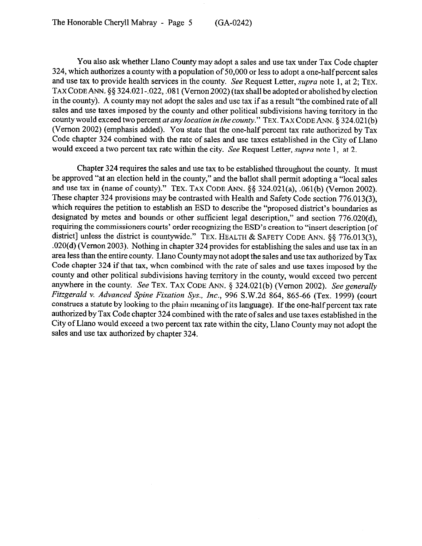You also ask whether Llano County may adopt a sales and use tax under Tax Code chapter 324, which authorizes a county with a population of 50,000 or less to adopt a one-half percent sales and use tax to provide health services in the county. See Request Letter, *supra* note 1, at 2; TEX. TAX CODE ANN.  $\S$ § 324.021-.022, .081 (Vernon 2002) (tax shall be adopted or abolished by election in the county). A county may not adopt the sales and use tax if as a result "the combined rate of all sales and use taxes imposed by the county and other political subdivisions having territory in the county would exceed two percent *at any location in the county."* TEX. TAX CODE ANN. § 324.021(b) (Vernon 2002) (emphasis added). You state that the one-half percent tax rate authorized by Tax Code chapter 324 combined with the rate of sales and use taxes established in the City of Llano would exceed a two percent tax rate within the city. See Request Letter, *supra* note 1, at 2.

Chapter 324 requires the sales and use tax to be established throughout the county. It must be approved "at an election held in the county," and the ballot shall permit adopting a "local sales and use tax in (name of county)." TEX. TAX CODE ANN. §§ 324.021(a), .061(b) (Vernon 2002). These chapter 324 provisions may be contrasted with Health and Safety Code section 776.013(3), which requires the petition to establish an ESD to describe the "proposed district's boundaries as designated by metes and bounds or other sufficient legal description," and section 776.020(d), requiring the commissioners courts' order recognizing the ESD's creation to "insert description [of district] unless the district is countywide." TEX. HEALTH & SAFETY CODE ANN.  $\S$  776.013(3), .020(d) (Vernon 2003). Nothing in chapter 324 provides for establishing the sales and use tax in an area less than the entire county. Llano Countymaynot adopt the sales and use tax authorized by Tax Code chapter 324 if that tax, when combined with the rate of sales and use taxes imposed by the county and other political subdivisions having territory in the county, would exceed two percent anywhere in the county. See TEX. TAX CODE ANN. 5 324.021(b) (Vernon 2002). *See generally Fitzgerald v. Advanced Spine Fixation Sys., Inc., 996* S.W.2d 864, 865-66 (Tex. 1999) (court construes a statute by looking to the plain meaning of its language). If the one-half percent tax rate authorized by Tax Code chapter 324 combined with the rate of sales and use taxes established in the City of Llano would exceed a two percent tax rate within the city, Llano County may not adopt the sales and use tax authorized by chapter 324.